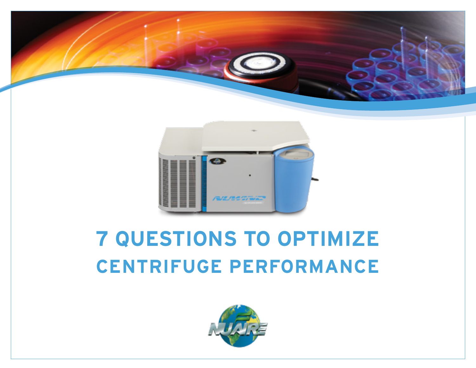



## **7 QUESTIONS TO OPTIMIZE CENTRIFUGE PERFORMANCE**

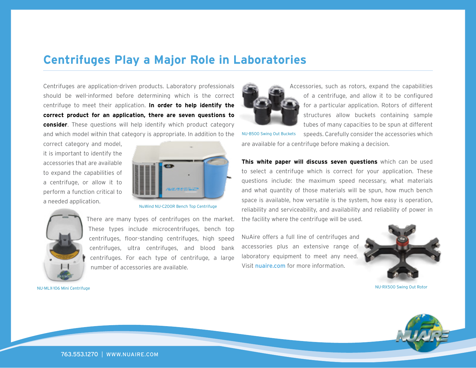#### **Centrifuges Play a Major Role in Laboratories**

Centrifuges are application-driven products. Laboratory professionals should be well-informed before determining which is the correct centrifuge to meet their application. **In order to help identify the correct product for an application, there are seven questions to consider**. These questions will help identify which product category and which model within that category is appropriate. In addition to the

correct category and model, it is important to identify the accessories that are available to expand the capabilities of a centrifuge, or allow it to perform a function critical to a needed application.



NuWind NU-C200R Bench Top Centrifuge

These types include microcentrifuges, bench top centrifuges, floor-standing centrifuges, high speed centrifuges, ultra centrifuges, and blood bank centrifuges. For each type of centrifuge, a large

number of accessories are available.



NU-MLX-106 Mini Centrifuge



Accessories, such as rotors, expand the capabilities of a centrifuge, and allow it to be configured for a particular application. Rotors of different structures allow buckets containing sample tubes of many capacities to be spun at different

speeds. Carefully consider the accessories which are available for a centrifuge before making a decision. NU-B500 Swing Out Buckets

**This white paper will discuss seven questions** which can be used to select a centrifuge which is correct for your application. These questions include: the maximum speed necessary, what materials and what quantity of those materials will be spun, how much bench space is available, how versatile is the system, how easy is operation, reliability and serviceability, and availability and reliability of power in the facility where the centrifuge will be used.

NuAire offers a full line of centrifuges and accessories plus an extensive range of laboratory equipment to meet any need. Visit nuaire.com for more information.



NU-RX500 Swing Out Rotor

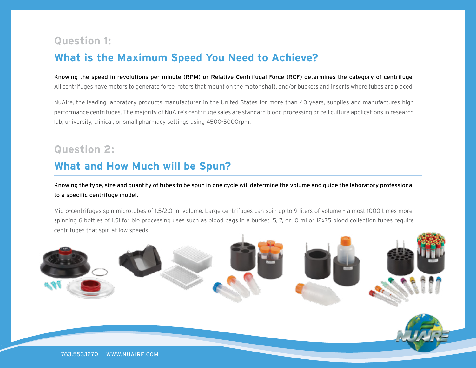#### **Question 1:**

#### **What is the Maximum Speed You Need to Achieve?**

#### Knowing the speed in revolutions per minute (RPM) or Relative Centrifugal Force (RCF) determines the category of centrifuge.

All centrifuges have motors to generate force, rotors that mount on the motor shaft, and/or buckets and inserts where tubes are placed.

NuAire, the leading laboratory products manufacturer in the United States for more than 40 years, supplies and manufactures high performance centrifuges. The majority of NuAire's centrifuge sales are standard blood processing or cell culture applications in research lab, university, clinical, or small pharmacy settings using 4500-5000rpm.

#### **Question 2:**

#### **What and How Much will be Spun?**

Knowing the type, size and quantity of tubes to be spun in one cycle will determine the volume and guide the laboratory professional to a specific centrifuge model.

Micro-centrifuges spin microtubes of 1.5/2.0 ml volume. Large centrifuges can spin up to 9 liters of volume – almost 1000 times more, spinning 6 bottles of 1.5l for bio-processing uses such as blood bags in a bucket. 5, 7, or 10 ml or 12x75 blood collection tubes require centrifuges that spin at low speeds

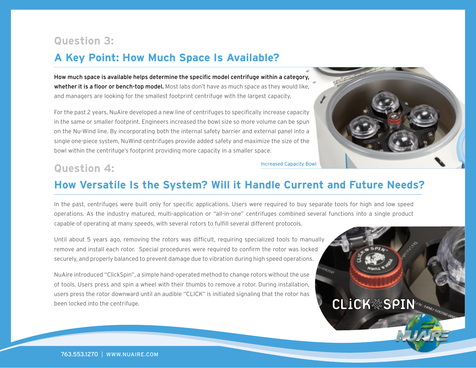#### **Question 3:**

#### **A Key Point: How Much Space Is Available?**

How much space is available helps determine the specific model centrifuge within a category, whether it is a floor or bench-top model. Most labs don't have as much space as they would like. and managers are looking for the smallest footprint centrifuge with the largest capacity.

For the past 2 years, NuAire developed a new line of centrifuges to specifically increase capacity in the same or smaller footprint. Engineers increased the bowl size so more volume can be spun on the Nu-Wind line. By incorporating both the internal safety barrier and external panel into a single one-piece system, NuWind centrifuges provide added safety and maximize the size of the bowl within the centrifuge's footprint providing more capacity in a smaller space.



**CLICK&SPIN** 

#### **Question 4:** Increased Capacity Bowl

#### **How Versatile Is the System? Will it Handle Current and Future Needs?**

In the past, centrifuges were built only for specific applications. Users were required to buy separate tools for high and low speed operations. As the industry matured, multi-application or "all-in-one" centrifuges combined several functions into a single product capable of operating at many speeds, with several rotors to fulfill several different protocols.

Until about 5 years ago, removing the rotors was difficult, requiring specialized tools to manually remove and install each rotor. Special procedures were required to confirm the rotor was locked securely, and properly balanced to prevent damage due to vibration during high speed operations.

NuAire introduced "ClickSpin", a simple hand-operated method to change rotors without the use of tools. Users press and spin a wheel with their thumbs to remove a rotor. During installation, users press the rotor downward until an audible "CLICK" is initiated signaling that the rotor has been locked into the centrifuge.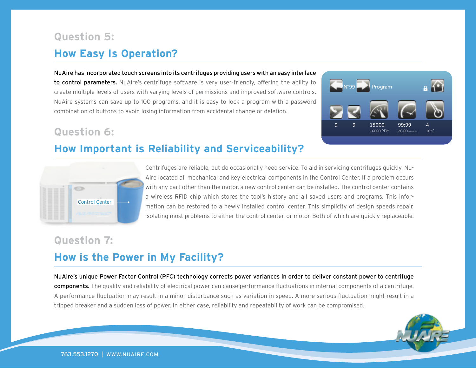### **How Easy Is Operation? Question 5:**

NuAire has incorporated touch screens into its centrifuges providing users with an easy interface to control parameters. NuAire's centrifuge software is very user-friendly, offering the ability to create multiple levels of users with varying levels of permissions and improved software controls. NuAire systems can save up to 100 programs, and it is easy to lock a program with a password combination of buttons to avoid losing information from accidental change or deletion.

#### **Question 6:**

#### **How Important is Reliability and Serviceability?**





Centrifuges are reliable, but do occasionally need service. To aid in servicing centrifuges quickly, Nu-Aire located all mechanical and key electrical components in the Control Center. If a problem occurs with any part other than the motor, a new control center can be installed. The control center contains a wireless RFID chip which stores the tool's history and all saved users and programs. This information can be restored to a newly installed control center. This simplicity of design speeds repair, isolating most problems to either the control center, or motor. Both of which are quickly replaceable.

#### **Question 7:**

#### **How is the Power in My Facility?**

NuAire's unique Power Factor Control (PFC) technology corrects power variances in order to deliver constant power to centrifuge components. The quality and reliability of electrical power can cause performance fluctuations in internal components of a centrifuge. A performance fluctuation may result in a minor disturbance such as variation in speed. A more serious fluctuation might result in a tripped breaker and a sudden loss of power. In either case, reliability and repeatability of work can be compromised.